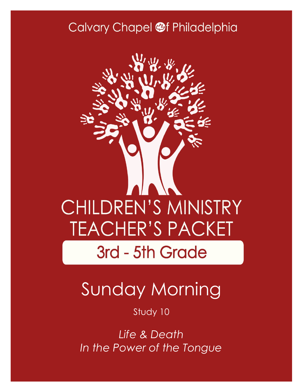### Calvary Chapel @f Philadelphia



# Sunday Morning

#### Study 10

*Life & Death In the Power of the Tongue*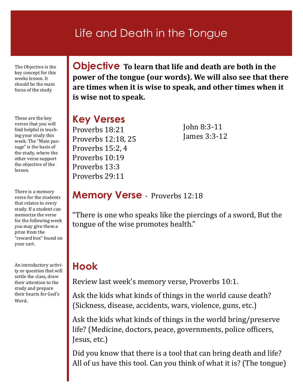### Life and Death in the Tongue

The Objective is the key concept for this weeks lesson. It should be the main focus of the study

These are the key verses that you will find helpful in teaching your study this week. The "Main passage" is the basis of the study, where the other verse support the objective of the lesson.

There is a memory verse for the students that relates to every study. If a student can memorize the verse for the following week you may give them a prize from the "reward box" found on your cart.

An introductory activity or question that will settle the class, draw their attention to the study and prepare their hearts for God's Word.

**Objective To learn that life and death are both in the power of the tongue (our words). We will also see that there are times when it is wise to speak, and other times when it is wise not to speak.** 

#### **Key Verses** Proverbs 18:21 Proverbs 12:18, 25 Proverbs 15:2, 4 Proverbs 10:19 Proverbs 13:3 Proverbs 29:11

John 8:3-11 James 3:3-12

#### **Memory Verse** - Proverbs 12:18

"There is one who speaks like the piercings of a sword, But the tongue of the wise promotes health."

#### **Hook**

Review last week's memory verse, Proverbs 10:1.

Ask the kids what kinds of things in the world cause death? (Sickness, disease, accidents, wars, violence, guns, etc.)

Ask the kids what kinds of things in the world bring/preserve life? (Medicine, doctors, peace, governments, police officers, Jesus, etc.)

Did you know that there is a tool that can bring death and life? All of us have this tool. Can you think of what it is? (The tongue)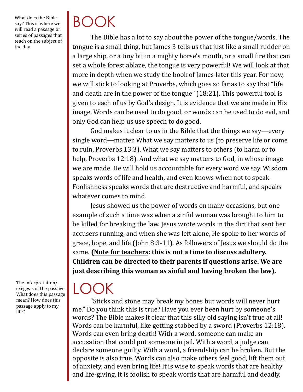What does the Bible say? This is where we will read a passage or series of passages that teach on the subject of the day.

# BOOK

The Bible has a lot to say about the power of the tongue/words. The tongue is a small thing, but James 3 tells us that just like a small rudder on a large ship, or a tiny bit in a mighty horse's mouth, or a small fire that can set a whole forest ablaze, the tongue is very powerful! We will look at that more in depth when we study the book of James later this year. For now, we will stick to looking at Proverbs, which goes so far as to say that "life and death are in the power of the tongue" (18:21). This powerful tool is given to each of us by God's design. It is evidence that we are made in His image. Words can be used to do good, or words can be used to do evil, and only God can help us use speech to do good.

God makes it clear to us in the Bible that the things we say—every single word—matter. What we say matters to us (to preserve life or come to ruin, Proverbs 13:3). What we say matters to others (to harm or to help, Proverbs 12:18). And what we say matters to God, in whose image we are made. He will hold us accountable for every word we say. Wisdom speaks words of life and health, and even knows when not to speak. Foolishness speaks words that are destructive and harmful, and speaks whatever comes to mind.

Jesus showed us the power of words on many occasions, but one example of such a time was when a sinful woman was brought to him to be killed for breaking the law. Jesus wrote words in the dirt that sent her accusers running, and when she was left alone, He spoke to her words of grace, hope, and life (John 8:3-11). As followers of Jesus we should do the same. **(Note for teachers: this is not a time to discuss adultery. Children can be directed to their parents if questions arise. We are just describing this woman as sinful and having broken the law).** 

The interpretation/ exegesis of the passage. What does this passage mean? How does this passage apply to my life?

## $\mid$  ( )(

"Sticks and stone may break my bones but words will never hurt me." Do you think this is true? Have you ever been hurt by someone's words? The Bible makes it clear that this silly old saying isn't true at all! Words can be harmful, like getting stabbed by a sword (Proverbs 12:18). Words can even bring death! With a word, someone can make an accusation that could put someone in jail. With a word, a judge can declare someone guilty. With a word, a friendship can be broken. But the opposite is also true. Words can also make others feel good, lift them out of anxiety, and even bring life! It is wise to speak words that are healthy and life-giving. It is foolish to speak words that are harmful and deadly.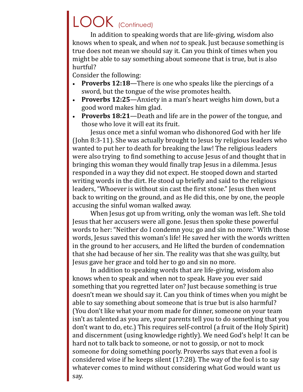# LOOK (Continued)

In addition to speaking words that are life-giving, wisdom also knows when to speak, and when *not* to speak. Just because something is true does not mean we should say it. Can you think of times when you might be able to say something about someone that is true, but is also hurtful?

Consider the following:

- **Proverbs 12:18**—There is one who speaks like the piercings of a sword, but the tongue of the wise promotes health.
- **Proverbs 12:25**—Anxiety in a man's heart weighs him down, but a good word makes him glad.
- **Proverbs 18:21**—Death and life are in the power of the tongue, and those who love it will eat its fruit.

Jesus once met a sinful woman who dishonored God with her life (John 8:3-11). She was actually brought to Jesus by religious leaders who wanted to put her to death for breaking the law! The religious leaders were also trying to find something to accuse Jesus of and thought that in bringing this woman they would finally trap Jesus in a dilemma. Jesus responded in a way they did not expect. He stooped down and started writing words in the dirt. He stood up briefly and said to the religious leaders, "Whoever is without sin cast the first stone." Jesus then went back to writing on the ground, and as He did this, one by one, the people accusing the sinful woman walked away.

When Jesus got up from writing, only the woman was left. She told Jesus that her accusers were all gone. Jesus then spoke these powerful words to her: "Neither do I condemn you; go and sin no more." With those words, Jesus saved this woman's life! He saved her with the words written in the ground to her accusers, and He lifted the burden of condemnation that she had because of her sin. The reality was that she was guilty, but Jesus gave her grace and told her to go and sin no more.

In addition to speaking words that are life-giving, wisdom also knows when to speak and when not to speak. Have you ever said something that you regretted later on? Just because something is true doesn't mean we should say it. Can you think of times when you might be able to say something about someone that is true but is also harmful? (You don't like what your mom made for dinner, someone on your team isn't as talented as you are, your parents tell you to do something that you don't want to do, etc.) This requires self-control (a fruit of the Holy Spirit) and discernment (using knowledge rightly). We need God's help! It can be hard not to talk back to someone, or not to gossip, or not to mock someone for doing something poorly. Proverbs says that even a fool is considered wise if he keeps silent (17:28). The way of the fool is to say whatever comes to mind without considering what God would want us say.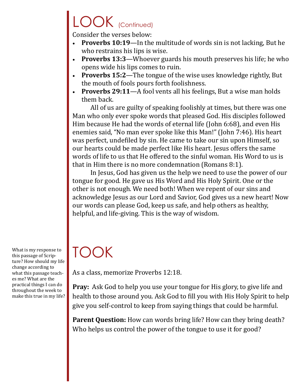### LOOK (Continued)

Consider the verses below:

- **Proverbs 10:19**—In the multitude of words sin is not lacking, But he who restrains his lips is wise.
- **Proverbs 13:3**—Whoever guards his mouth preserves his life; he who opens wide his lips comes to ruin.
- **Proverbs 15:2**—The tongue of the wise uses knowledge rightly, But the mouth of fools pours forth foolishness.
- **Proverbs 29:11**—A fool vents all his feelings, But a wise man holds them back.

All of us are guilty of speaking foolishly at times, but there was one Man who only ever spoke words that pleased God. His disciples followed Him because He had the words of eternal life (John 6:68), and even His enemies said, "No man ever spoke like this Man!" (John 7:46). His heart was perfect, undefiled by sin. He came to take our sin upon Himself, so our hearts could be made perfect like His heart. Jesus offers the same words of life to us that He offered to the sinful woman. His Word to us is that in Him there is no more condemnation (Romans 8:1).

In Jesus, God has given us the help we need to use the power of our tongue for good. He gave us His Word and His Holy Spirit. One or the other is not enough. We need both! When we repent of our sins and acknowledge Jesus as our Lord and Savior, God gives us a new heart! Now our words can please God, keep us safe, and help others as healthy, helpful, and life-giving. This is the way of wisdom.

What is my response to this passage of Scripture? How should my life change according to what this passage teaches me? What are the practical things I can do throughout the week to make this true in my life?

## TOOK

As a class, memorize Proverbs 12:18.

**Pray:** Ask God to help you use your tongue for His glory, to give life and health to those around you. Ask God to fill you with His Holy Spirit to help give you self-control to keep from saying things that could be harmful.

Parent Question: How can words bring life? How can they bring death? Who helps us control the power of the tongue to use it for good?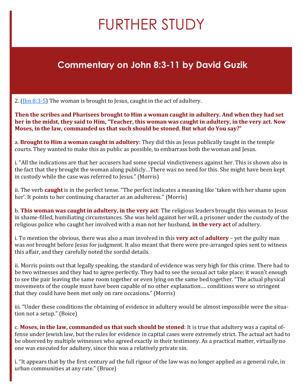# FURTHER STUDY

#### **Commentary on John 8:3-11 by David Guzik**

2. ( $\ln n$  8:3-5) The woman is brought to Jesus, caught in the act of adultery.

**Then the scribes and Pharisees brought to Him a woman caught in adultery. And when they had set her in the midst, they said to Him, "Teacher, this woman was caught in adultery, in the very act. Now Moses, in the law, commanded us that such should be stoned. But what do You say?"**

a. **Brought to Him a woman caught in adultery**: They did this as Jesus publically taught in the temple courts. They wanted to make this as public as possible, to embarrass both the woman and Jesus.

i. "All the indications are that her accusers had some special vindictiveness against her. This is shown also in the fact that they brought the woman along publicly…There was no need for this. She might have been kept in custody while the case was referred to Jesus." (Morris)

ii. The verb **caught** is in the perfect tense. "The perfect indicates a meaning like 'taken with her shame upon her'. It points to her continuing character as an adulteress." (Morris)

b. **This woman was caught in adultery, in the very act**: The religious leaders brought this woman to Jesus in shame-filled, humiliating circumstances. She was held against her will, a prisoner under the custody of the religious police who caught her involved with a man not her husband, **in the very act** of adultery.

i. To mention the obvious, there was also a man involved in this **very act** of **adultery** – yet the guilty man was *not* brought before Jesus for judgment. It also meant that there were pre-arranged spies sent to witness this affair, and they carefully noted the sordid details.

ii. Morris points out that legally speaking, the standard of evidence was very high for this crime. There had to be two witnesses and they had to agree perfectly. They had to see the sexual act take place; it wasn't enough to see the pair leaving the same room together or even lying on the same bed together. "The actual physical movements of the couple must have been capable of no other explanation…. conditions were so stringent that they could have been met only on rare occasions." (Morris)

iii. "Under these conditions the obtaining of evidence in adultery would be almost impossible were the situation not a setup." (Boice)

c. **Moses, in the law, commanded us that such should be stoned**: It is true that adultery was a capital offense under Jewish law, but the rules for evidence in capital cases were extremely strict. The actual act had to be observed by multiple witnesses who agreed exactly in their testimony. As a practical matter, virtually no one was executed for adultery, since this was a relatively private sin.

i. "It appears that by the first century ad the full rigour of the law was no longer applied as a general rule, in urban communities at any rate." (Bruce)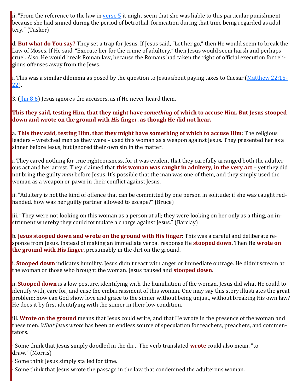ii. "From the reference to the law in [verse 5](https://www.blueletterbible.org/kjv/john/8/5/s_1005005) it might seem that she was liable to this particular punishment because she had sinned during the period of betrothal, fornication during that time being regarded as adultery." (Tasker)

d. **But what do You say?** They set a trap for Jesus. If Jesus said, "Let her go," then He would seem to break the Law of Moses. If He said, "Execute her for the crime of adultery," then Jesus would seem harsh and perhaps cruel. Also, He would break Roman law, because the Romans had taken the right of official execution for religious offenses away from the Jews.

i. This was a similar dilemma as posed by the question to Jesus about paying taxes to Caesar ([Matthew 22:15](https://www.blueletterbible.org/kjv/matthew/22/15-22/s_951015)- [22\)](https://www.blueletterbible.org/kjv/matthew/22/15-22/s_951015).

3. ( $\ln n$  8:6) Jesus ignores the accusers, as if He never heard them.

#### **This they said, testing Him, that they might have** *something* **of which to accuse Him. But Jesus stooped down and wrote on the ground with** *His* **finger, as though He did not hear.**

a. **This they said, testing Him, that they might have something of which to accuse Him**: The religious leaders – wretched men as they were – used this woman as a weapon against Jesus. They presented her as a sinner before Jesus, but ignored their own sin in the matter.

i. They cared nothing for true righteousness, for it was evident that they carefully arranged both the adulterous act and her arrest. They claimed that **this woman was caught in adultery, in the very act** – yet they did not bring the guilty *man* before Jesus. It's possible that the man was one of them, and they simply used the woman as a weapon or pawn in their conflict against Jesus.

ii. "Adultery is not the kind of offence that can be committed by one person in solitude; if she was caught redhanded, how was her guilty partner allowed to escape?" (Bruce)

iii. "They were not looking on this woman as a person at all; they were looking on her only as a thing, an instrument whereby they could formulate a charge against Jesus." (Barclay)

b. **Jesus stooped down and wrote on the ground with His finger**: This was a careful and deliberate response from Jesus. Instead of making an immediate verbal response He **stooped down**. Then He **wrote on the ground with His finger**, presumably in the dirt on the ground.

i. **Stooped down** indicates humility. Jesus didn't react with anger or immediate outrage. He didn't scream at the woman or those who brought the woman. Jesus paused and **stooped down**.

ii. **Stooped down** is a low posture, identifying with the humiliation of the woman. Jesus did what He could to identify with, care for, and ease the embarrassment of this woman. One may say this story illustrates the great problem: how can God show love and grace to the sinner without being unjust, without breaking His own law? He does it by first identifying with the sinner in their low condition.

iii. **Wrote on the ground** means that Jesus could write, and that He wrote in the presence of the woman and these men. *What Jesus wrote* has been an endless source of speculation for teachers, preachers, and commentators.

· Some think that Jesus simply doodled in the dirt. The verb translated **wrote** could also mean, "to draw." (Morris)

Some think Jesus simply stalled for time.

Some think that Jesus wrote the passage in the law that condemned the adulterous woman.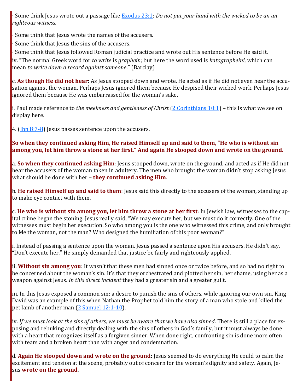· Some think Jesus wrote out a passage like [Exodus 23:1:](https://www.blueletterbible.org/kjv/exodus/23/1/s_73001) *Do not put your hand with the wicked to be an unrighteous witness*.

Some think that Jesus wrote the names of the accusers.

· Some think that Jesus the sins of the accusers.

· Some think that Jesus followed Roman judicial practice and wrote out His sentence before He said it.

iv. "The normal Greek word for *to write* is *graphein*; but here the word used is *katagrapheini*, which can mean *to write down a record against someone*." (Barclay)

c. **As though He did not hear**: As Jesus stooped down and wrote, He acted as if He did not even hear the accusation against the woman. Perhaps Jesus ignored them because He despised their wicked work. Perhaps Jesus ignored them because He was embarrassed for the woman's sake.

i. Paul made reference to *the meekness and gentleness of Christ* [\(2 Corinthians 10:1\)](https://www.blueletterbible.org/kjv/2corinthians/10/1/s_1088001) – this is what we see on display here.

4. ( $\frac{\ln 8}{7-8}$ ) Jesus passes sentence upon the accusers.

#### **So when they continued asking Him, He raised Himself up and said to them, "He who is without sin among you, let him throw a stone at her first." And again He stooped down and wrote on the ground.**

a. **So when they continued asking Him**: Jesus stooped down, wrote on the ground, and acted as if He did not hear the accusers of the woman taken in adultery. The men who brought the woman didn't stop asking Jesus what should be done with her – **they continued asking Him**.

b. **He raised Himself up and said to them**: Jesus said this directly to the accusers of the woman, standing up to make eye contact with them.

c. **He who is without sin among you, let him throw a stone at her first**: In Jewish law, witnesses to the capital crime began the stoning. Jesus really said, "We may execute her, but we must do it correctly. One of the witnesses must begin her execution. So who among you is the one who witnessed this crime, and only brought to Me the woman, not the man? Who designed the humiliation of this poor woman?"

i. Instead of passing a sentence upon the woman, Jesus passed a sentence upon His accusers. He didn't say, "Don't execute her." He simply demanded that justice be fairly and righteously applied.

ii. **Without sin among you**: It wasn't that these men had sinned once or twice before, and so had no right to be concerned about the woman's sin. It's that they orchestrated and plotted her sin, her shame, using her as a weapon against Jesus. *In this direct incident* they had a greater sin and a greater guilt.

iii. In this Jesus exposed a common sin: a desire to punish the sins of others, while ignoring our own sin. King David was an example of this when Nathan the Prophet told him the story of a man who stole and killed the pet lamb of another man ([2 Samuel 12:1](https://www.blueletterbible.org/kjv/2samuel/12/1-10/s_279001)-10).

iv. *If we must look at the sins of others, we must be aware that we have also sinned*. There is still a place for exposing and rebuking and directly dealing with the sins of others in God's family, but it must always be done with a heart that recognizes itself as a forgiven sinner. When done right, confronting sin is done more often with tears and a broken heart than with anger and condemnation.

d. **Again He stooped down and wrote on the ground**: Jesus seemed to do everything He could to calm the excitement and tension at the scene, probably out of concern for the woman's dignity and safety. Again, Jesus **wrote on the ground**.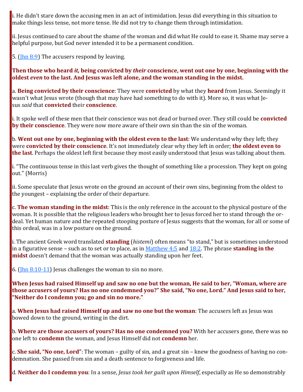i. He didn't stare down the accusing men in an act of intimidation. Jesus did everything in this situation to make things less tense, not more tense. He did not try to change them through intimidation.

ii. Jesus continued to care about the shame of the woman and did what He could to ease it. Shame may serve a helpful purpose, but God never intended it to be a permanent condition.

5. ( $\ln n$  8:9) The accusers respond by leaving.

**Then those who heard** *it,* **being convicted by** *their* **conscience, went out one by one, beginning with the oldest** *even* **to the last. And Jesus was left alone, and the woman standing in the midst.**

a. **Being convicted by their conscience**: They were **convicted** by what they **heard** from Jesus. Seemingly it wasn't what Jesus wrote (though that may have had something to do with it). More so, it was what Jesus *said* that **convicted** their **conscience**.

i. It spoke well of these men that their conscience was not dead or burned over. They still could be **convicted by their conscience**. They were now more aware of their own sin than the sin of the woman.

b. **Went out one by one, beginning with the oldest even to the last**: We understand why they left; they were **convicted by their conscience**. It's not immediately clear why they left in order; **the oldest even to the last**. Perhaps the oldest left first because they most easily understood that Jesus was talking about them.

i. "The continuous tense in this last verb gives the thought of something like a procession. They kept on going out." (Morris)

ii. Some speculate that Jesus wrote on the ground an account of their own sins, beginning from the oldest to the youngest – explaining the order of their departure.

c. **The woman standing in the midst**: This is the only reference in the account to the physical posture of the woman. It is possible that the religious leaders who brought her to Jesus forced her to stand through the ordeal. Yet human nature and the repeated stooping posture of Jesus suggests that the woman, for all or some of this ordeal, was in a low posture on the ground.

i. The ancient Greek word translated **standing** (*histemi*) often means "to stand," but is sometimes understood in a figurative sense – such as to set or to place, as in [Matthew 4:5](https://www.blueletterbible.org/kjv/matthew/4/5/s_933005) and [18:2.](https://www.blueletterbible.org/kjv/matthew/18/2/s_947002) The phrase **standing in the midst** doesn't demand that the woman was actually standing upon her feet.

6. ( $\frac{\ln n}{8:10-11}$ ) Jesus challenges the woman to sin no more.

**When Jesus had raised Himself up and saw no one but the woman, He said to her, "Woman, where are those accusers of yours? Has no one condemned you?" She said, "No one, Lord." And Jesus said to her, "Neither do I condemn you; go and sin no more."**

a. **When Jesus had raised Himself up and saw no one but the woman**: The accusers left as Jesus was bowed down to the ground, writing in the dirt.

b. **Where are those accusers of yours? Has no one condemned you?** With her accusers gone, there was no one left to **condemn** the woman, and Jesus Himself did not **condemn** her.

c. **She said, "No one, Lord"**: The woman – guilty of sin, and a great sin – knew the goodness of having no condemnation. She passed from sin and a death sentence to forgiveness and life.

d. **Neither do I condemn you**: In a sense, *Jesus took her guilt upon Himself*, especially as He so demonstrably